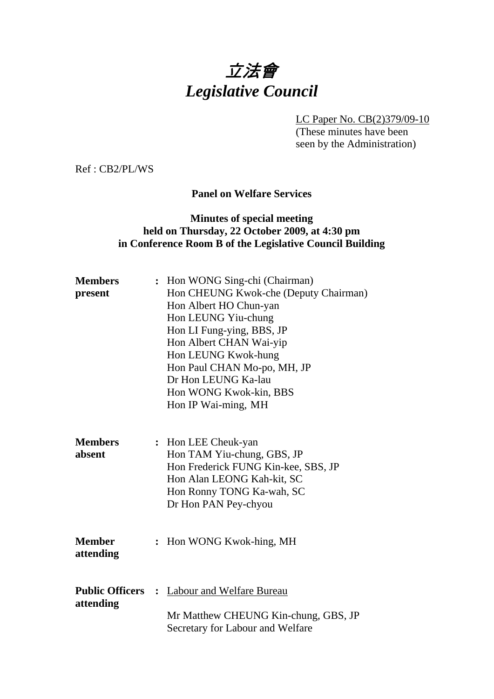# 立法會 *Legislative Council*

LC Paper No. CB(2)379/09-10

(These minutes have been seen by the Administration)

Ref : CB2/PL/WS

# **Panel on Welfare Services**

# **Minutes of special meeting held on Thursday, 22 October 2009, at 4:30 pm in Conference Room B of the Legislative Council Building**

| <b>Members</b><br>present           | : Hon WONG Sing-chi (Chairman)<br>Hon CHEUNG Kwok-che (Deputy Chairman)<br>Hon Albert HO Chun-yan<br>Hon LEUNG Yiu-chung<br>Hon LI Fung-ying, BBS, JP<br>Hon Albert CHAN Wai-yip<br>Hon LEUNG Kwok-hung<br>Hon Paul CHAN Mo-po, MH, JP<br>Dr Hon LEUNG Ka-lau<br>Hon WONG Kwok-kin, BBS<br>Hon IP Wai-ming, MH |
|-------------------------------------|----------------------------------------------------------------------------------------------------------------------------------------------------------------------------------------------------------------------------------------------------------------------------------------------------------------|
| <b>Members</b><br>absent            | : Hon LEE Cheuk-yan<br>Hon TAM Yiu-chung, GBS, JP<br>Hon Frederick FUNG Kin-kee, SBS, JP<br>Hon Alan LEONG Kah-kit, SC<br>Hon Ronny TONG Ka-wah, SC<br>Dr Hon PAN Pey-chyou                                                                                                                                    |
| <b>Member</b><br>attending          | : Hon WONG Kwok-hing, MH                                                                                                                                                                                                                                                                                       |
| <b>Public Officers</b><br>attending | : Labour and Welfare Bureau<br>Mr Matthew CHEUNG Kin-chung, GBS, JP<br>Secretary for Labour and Welfare                                                                                                                                                                                                        |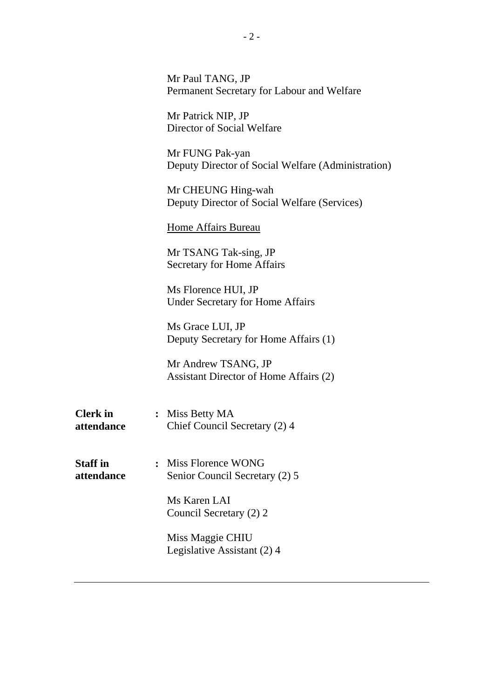|                               | Mr Paul TANG, JP<br>Permanent Secretary for Labour and Welfare        |
|-------------------------------|-----------------------------------------------------------------------|
|                               | Mr Patrick NIP, JP<br>Director of Social Welfare                      |
|                               | Mr FUNG Pak-yan<br>Deputy Director of Social Welfare (Administration) |
|                               | Mr CHEUNG Hing-wah<br>Deputy Director of Social Welfare (Services)    |
|                               | Home Affairs Bureau                                                   |
|                               | Mr TSANG Tak-sing, JP<br><b>Secretary for Home Affairs</b>            |
|                               | Ms Florence HUI, JP<br><b>Under Secretary for Home Affairs</b>        |
|                               | Ms Grace LUI, JP<br>Deputy Secretary for Home Affairs (1)             |
|                               | Mr Andrew TSANG, JP<br>Assistant Director of Home Affairs (2)         |
| <b>Clerk</b> in<br>attendance | : Miss Betty MA<br>Chief Council Secretary (2) 4                      |
| <b>Staff</b> in<br>attendance | : Miss Florence WONG<br>Senior Council Secretary (2) 5                |
|                               | Ms Karen LAI<br>Council Secretary (2) 2                               |
|                               | Miss Maggie CHIU<br>Legislative Assistant (2) 4                       |
|                               |                                                                       |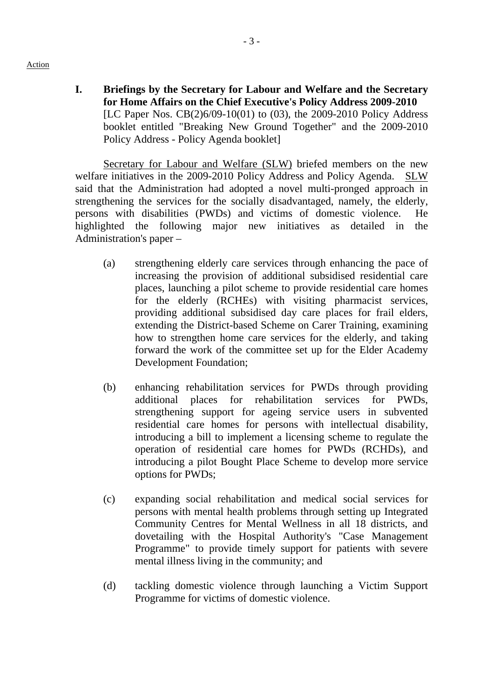**I. Briefings by the Secretary for Labour and Welfare and the Secretary for Home Affairs on the Chief Executive's Policy Address 2009-2010**  [LC Paper Nos. CB(2)6/09-10(01) to (03), the 2009-2010 Policy Address booklet entitled "Breaking New Ground Together" and the 2009-2010 Policy Address - Policy Agenda booklet]

Secretary for Labour and Welfare (SLW) briefed members on the new welfare initiatives in the 2009-2010 Policy Address and Policy Agenda. SLW said that the Administration had adopted a novel multi-pronged approach in strengthening the services for the socially disadvantaged, namely, the elderly, persons with disabilities (PWDs) and victims of domestic violence. He highlighted the following major new initiatives as detailed in the Administration's paper –

- (a) strengthening elderly care services through enhancing the pace of increasing the provision of additional subsidised residential care places, launching a pilot scheme to provide residential care homes for the elderly (RCHEs) with visiting pharmacist services, providing additional subsidised day care places for frail elders, extending the District-based Scheme on Carer Training, examining how to strengthen home care services for the elderly, and taking forward the work of the committee set up for the Elder Academy Development Foundation;
- (b) enhancing rehabilitation services for PWDs through providing additional places for rehabilitation services for PWDs, strengthening support for ageing service users in subvented residential care homes for persons with intellectual disability, introducing a bill to implement a licensing scheme to regulate the operation of residential care homes for PWDs (RCHDs), and introducing a pilot Bought Place Scheme to develop more service options for PWDs;
- (c) expanding social rehabilitation and medical social services for persons with mental health problems through setting up Integrated Community Centres for Mental Wellness in all 18 districts, and dovetailing with the Hospital Authority's "Case Management Programme" to provide timely support for patients with severe mental illness living in the community; and
- (d) tackling domestic violence through launching a Victim Support Programme for victims of domestic violence.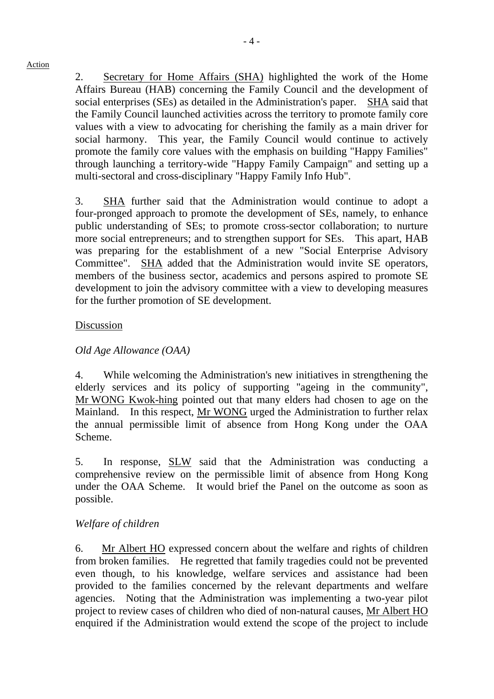2. Secretary for Home Affairs (SHA) highlighted the work of the Home Affairs Bureau (HAB) concerning the Family Council and the development of social enterprises (SEs) as detailed in the Administration's paper. SHA said that the Family Council launched activities across the territory to promote family core values with a view to advocating for cherishing the family as a main driver for social harmony. This year, the Family Council would continue to actively promote the family core values with the emphasis on building "Happy Families" through launching a territory-wide "Happy Family Campaign" and setting up a multi-sectoral and cross-disciplinary "Happy Family Info Hub".

3. SHA further said that the Administration would continue to adopt a four-pronged approach to promote the development of SEs, namely, to enhance public understanding of SEs; to promote cross-sector collaboration; to nurture more social entrepreneurs; and to strengthen support for SEs. This apart, HAB was preparing for the establishment of a new "Social Enterprise Advisory Committee". SHA added that the Administration would invite SE operators, members of the business sector, academics and persons aspired to promote SE development to join the advisory committee with a view to developing measures for the further promotion of SE development.

# Discussion

# *Old Age Allowance (OAA)*

4. While welcoming the Administration's new initiatives in strengthening the elderly services and its policy of supporting "ageing in the community", Mr WONG Kwok-hing pointed out that many elders had chosen to age on the Mainland. In this respect, Mr WONG urged the Administration to further relax the annual permissible limit of absence from Hong Kong under the OAA Scheme.

5. In response, SLW said that the Administration was conducting a comprehensive review on the permissible limit of absence from Hong Kong under the OAA Scheme. It would brief the Panel on the outcome as soon as possible.

### *Welfare of children*

6. Mr Albert HO expressed concern about the welfare and rights of children from broken families. He regretted that family tragedies could not be prevented even though, to his knowledge, welfare services and assistance had been provided to the families concerned by the relevant departments and welfare agencies. Noting that the Administration was implementing a two-year pilot project to review cases of children who died of non-natural causes, Mr Albert HO enquired if the Administration would extend the scope of the project to include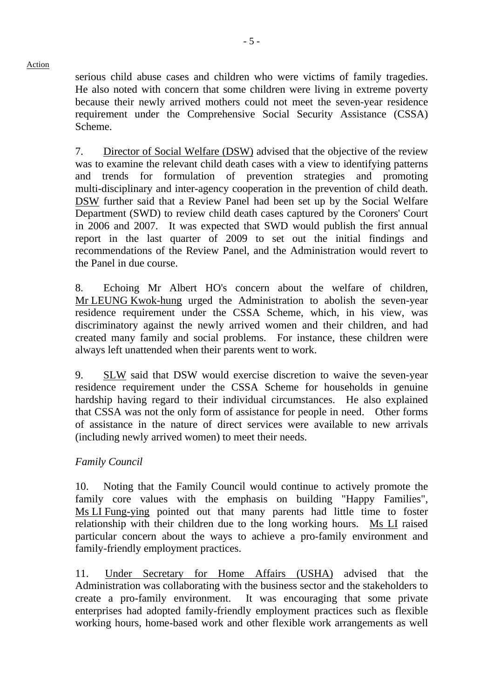serious child abuse cases and children who were victims of family tragedies. He also noted with concern that some children were living in extreme poverty because their newly arrived mothers could not meet the seven-year residence requirement under the Comprehensive Social Security Assistance (CSSA) Scheme.

7. Director of Social Welfare (DSW) advised that the objective of the review was to examine the relevant child death cases with a view to identifying patterns and trends for formulation of prevention strategies and promoting multi-disciplinary and inter-agency cooperation in the prevention of child death. DSW further said that a Review Panel had been set up by the Social Welfare Department (SWD) to review child death cases captured by the Coroners' Court in 2006 and 2007. It was expected that SWD would publish the first annual report in the last quarter of 2009 to set out the initial findings and recommendations of the Review Panel, and the Administration would revert to the Panel in due course.

8. Echoing Mr Albert HO's concern about the welfare of children, Mr LEUNG Kwok-hung urged the Administration to abolish the seven-year residence requirement under the CSSA Scheme, which, in his view, was discriminatory against the newly arrived women and their children, and had created many family and social problems. For instance, these children were always left unattended when their parents went to work.

9. SLW said that DSW would exercise discretion to waive the seven-year residence requirement under the CSSA Scheme for households in genuine hardship having regard to their individual circumstances. He also explained that CSSA was not the only form of assistance for people in need. Other forms of assistance in the nature of direct services were available to new arrivals (including newly arrived women) to meet their needs.

# *Family Council*

10. Noting that the Family Council would continue to actively promote the family core values with the emphasis on building "Happy Families", Ms LI Fung-ying pointed out that many parents had little time to foster relationship with their children due to the long working hours. Ms LI raised particular concern about the ways to achieve a pro-family environment and family-friendly employment practices.

11. Under Secretary for Home Affairs (USHA) advised that the Administration was collaborating with the business sector and the stakeholders to create a pro-family environment. It was encouraging that some private enterprises had adopted family-friendly employment practices such as flexible working hours, home-based work and other flexible work arrangements as well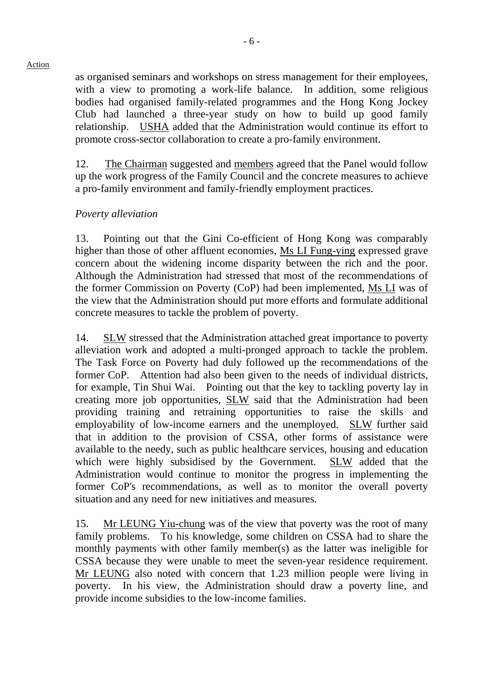as organised seminars and workshops on stress management for their employees, with a view to promoting a work-life balance. In addition, some religious bodies had organised family-related programmes and the Hong Kong Jockey Club had launched a three-year study on how to build up good family relationship. USHA added that the Administration would continue its effort to promote cross-sector collaboration to create a pro-family environment.

12. The Chairman suggested and members agreed that the Panel would follow up the work progress of the Family Council and the concrete measures to achieve a pro-family environment and family-friendly employment practices.

# *Poverty alleviation*

13. Pointing out that the Gini Co-efficient of Hong Kong was comparably higher than those of other affluent economies, Ms LI Fung-ying expressed grave concern about the widening income disparity between the rich and the poor. Although the Administration had stressed that most of the recommendations of the former Commission on Poverty (CoP) had been implemented, Ms LI was of the view that the Administration should put more efforts and formulate additional concrete measures to tackle the problem of poverty.

14. SLW stressed that the Administration attached great importance to poverty alleviation work and adopted a multi-pronged approach to tackle the problem. The Task Force on Poverty had duly followed up the recommendations of the former CoP. Attention had also been given to the needs of individual districts, for example, Tin Shui Wai. Pointing out that the key to tackling poverty lay in creating more job opportunities, SLW said that the Administration had been providing training and retraining opportunities to raise the skills and employability of low-income earners and the unemployed. SLW further said that in addition to the provision of CSSA, other forms of assistance were available to the needy, such as public healthcare services, housing and education which were highly subsidised by the Government. SLW added that the Administration would continue to monitor the progress in implementing the former CoP's recommendations, as well as to monitor the overall poverty situation and any need for new initiatives and measures.

15. Mr LEUNG Yiu-chung was of the view that poverty was the root of many family problems. To his knowledge, some children on CSSA had to share the monthly payments with other family member(s) as the latter was ineligible for CSSA because they were unable to meet the seven-year residence requirement. Mr LEUNG also noted with concern that 1.23 million people were living in poverty. In his view, the Administration should draw a poverty line, and provide income subsidies to the low-income families.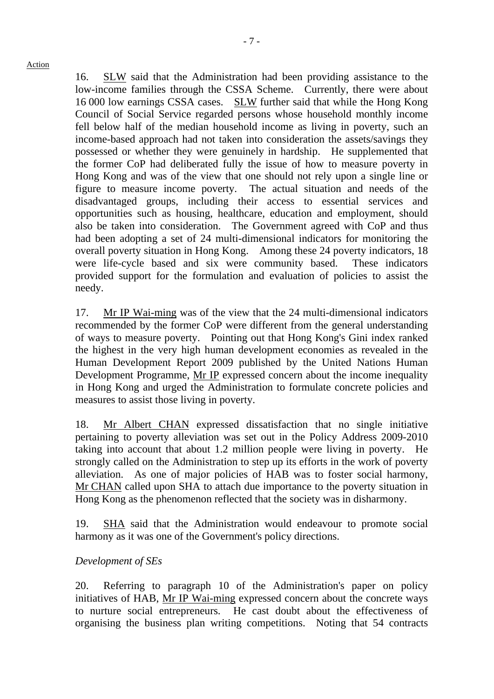16. SLW said that the Administration had been providing assistance to the low-income families through the CSSA Scheme. Currently, there were about 16,000 low earnings CSSA cases. SLW further said that while the Hong Kong Council of Social Service regarded persons whose household monthly income fell below half of the median household income as living in poverty, such an income-based approach had not taken into consideration the assets/savings they possessed or whether they were genuinely in hardship. He supplemented that the former CoP had deliberated fully the issue of how to measure poverty in Hong Kong and was of the view that one should not rely upon a single line or figure to measure income poverty. The actual situation and needs of the disadvantaged groups, including their access to essential services and opportunities such as housing, healthcare, education and employment, should also be taken into consideration. The Government agreed with CoP and thus had been adopting a set of 24 multi-dimensional indicators for monitoring the overall poverty situation in Hong Kong. Among these 24 poverty indicators, 18 were life-cycle based and six were community based. These indicators provided support for the formulation and evaluation of policies to assist the needy.

17. Mr IP Wai-ming was of the view that the 24 multi-dimensional indicators recommended by the former CoP were different from the general understanding of ways to measure poverty. Pointing out that Hong Kong's Gini index ranked the highest in the very high human development economies as revealed in the Human Development Report 2009 published by the United Nations Human Development Programme, Mr IP expressed concern about the income inequality in Hong Kong and urged the Administration to formulate concrete policies and measures to assist those living in poverty.

18. Mr Albert CHAN expressed dissatisfaction that no single initiative pertaining to poverty alleviation was set out in the Policy Address 2009-2010 taking into account that about 1.2 million people were living in poverty. He strongly called on the Administration to step up its efforts in the work of poverty alleviation. As one of major policies of HAB was to foster social harmony, Mr CHAN called upon SHA to attach due importance to the poverty situation in Hong Kong as the phenomenon reflected that the society was in disharmony.

19. SHA said that the Administration would endeavour to promote social harmony as it was one of the Government's policy directions.

# *Development of SEs*

20. Referring to paragraph 10 of the Administration's paper on policy initiatives of HAB, Mr IP Wai-ming expressed concern about the concrete ways to nurture social entrepreneurs. He cast doubt about the effectiveness of organising the business plan writing competitions. Noting that 54 contracts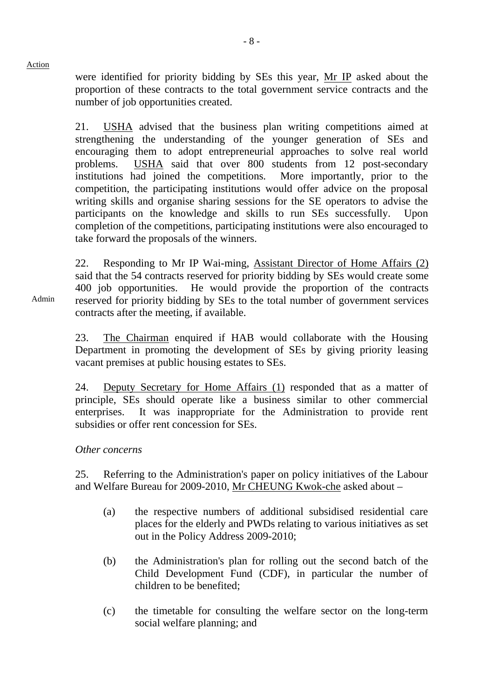were identified for priority bidding by SEs this year, Mr IP asked about the proportion of these contracts to the total government service contracts and the number of job opportunities created.

21. USHA advised that the business plan writing competitions aimed at strengthening the understanding of the younger generation of SEs and encouraging them to adopt entrepreneurial approaches to solve real world problems. USHA said that over 800 students from 12 post-secondary institutions had joined the competitions. More importantly, prior to the competition, the participating institutions would offer advice on the proposal writing skills and organise sharing sessions for the SE operators to advise the participants on the knowledge and skills to run SEs successfully. Upon completion of the competitions, participating institutions were also encouraged to take forward the proposals of the winners.

22. Responding to Mr IP Wai-ming, Assistant Director of Home Affairs (2) said that the 54 contracts reserved for priority bidding by SEs would create some 400 job opportunities. He would provide the proportion of the contracts reserved for priority bidding by SEs to the total number of government services contracts after the meeting, if available.

23. The Chairman enquired if HAB would collaborate with the Housing Department in promoting the development of SEs by giving priority leasing vacant premises at public housing estates to SEs.

24. Deputy Secretary for Home Affairs (1) responded that as a matter of principle, SEs should operate like a business similar to other commercial enterprises. It was inappropriate for the Administration to provide rent subsidies or offer rent concession for SEs.

# *Other concerns*

25. Referring to the Administration's paper on policy initiatives of the Labour and Welfare Bureau for 2009-2010, Mr CHEUNG Kwok-che asked about –

- (a) the respective numbers of additional subsidised residential care places for the elderly and PWDs relating to various initiatives as set out in the Policy Address 2009-2010;
- (b) the Administration's plan for rolling out the second batch of the Child Development Fund (CDF), in particular the number of children to be benefited;
- (c) the timetable for consulting the welfare sector on the long-term social welfare planning; and

Admin